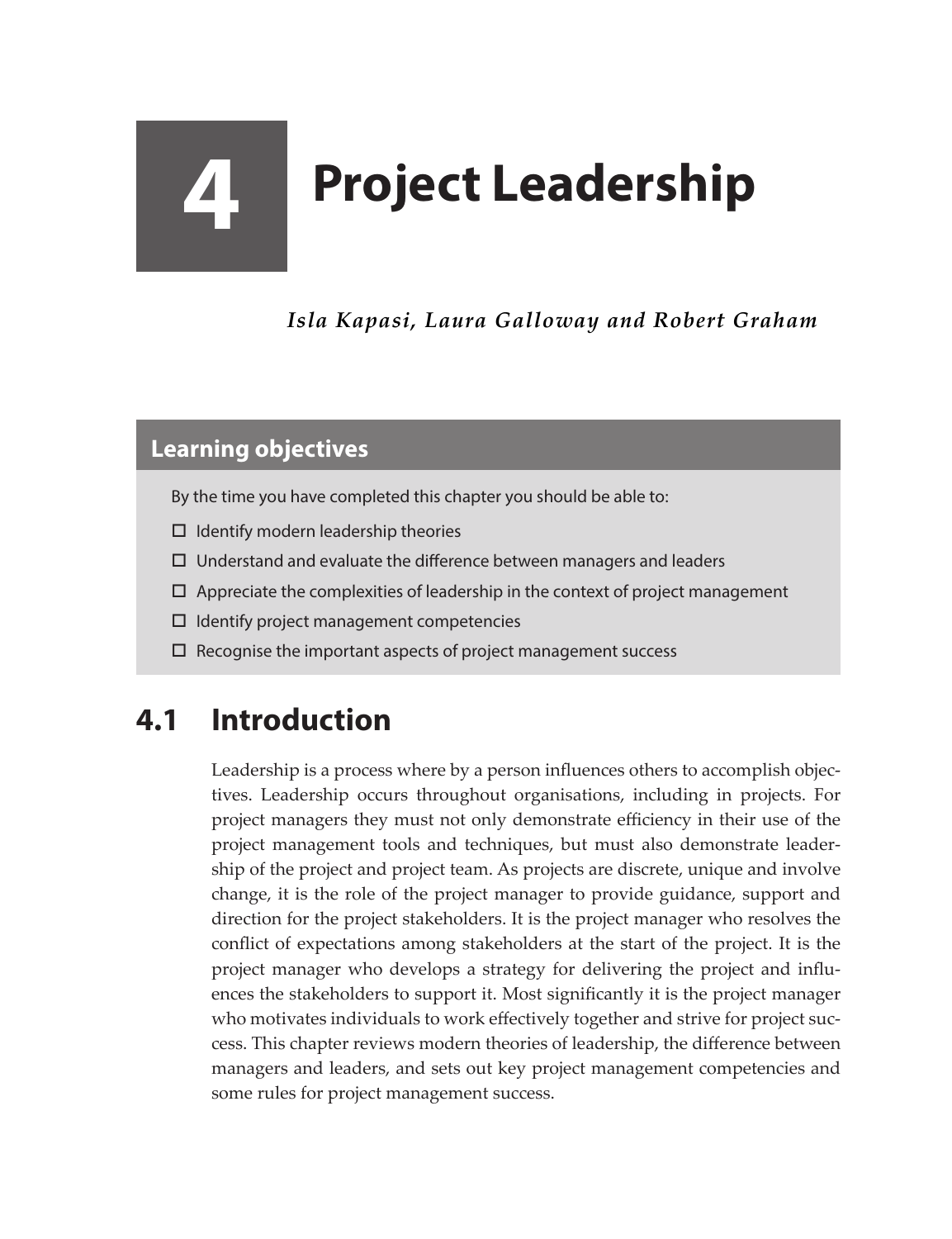# **4 Project Leadership**

*Isla Kapasi, Laura Galloway and Robert Graham*

#### **Learning objectives**

By the time you have completed this chapter you should be able to:

- $\Box$  Identify modern leadership theories
- $\Box$  Understand and evaluate the difference between managers and leaders
- $\Box$  Appreciate the complexities of leadership in the context of project management
- $\Box$  Identify project management competencies
- $\square$  Recognise the important aspects of project management success

# **4.1 Introduction**

Leadership is a process where by a person influences others to accomplish objectives. Leadership occurs throughout organisations, including in projects. For project managers they must not only demonstrate efficiency in their use of the project management tools and techniques, but must also demonstrate leadership of the project and project team. As projects are discrete, unique and involve change, it is the role of the project manager to provide guidance, support and direction for the project stakeholders. It is the project manager who resolves the conflict of expectations among stakeholders at the start of the project. It is the project manager who develops a strategy for delivering the project and influences the stakeholders to support it. Most significantly it is the project manager who motivates individuals to work effectively together and strive for project success. This chapter reviews modern theories of leadership, the difference between managers and leaders, and sets out key project management competencies and some rules for project management success.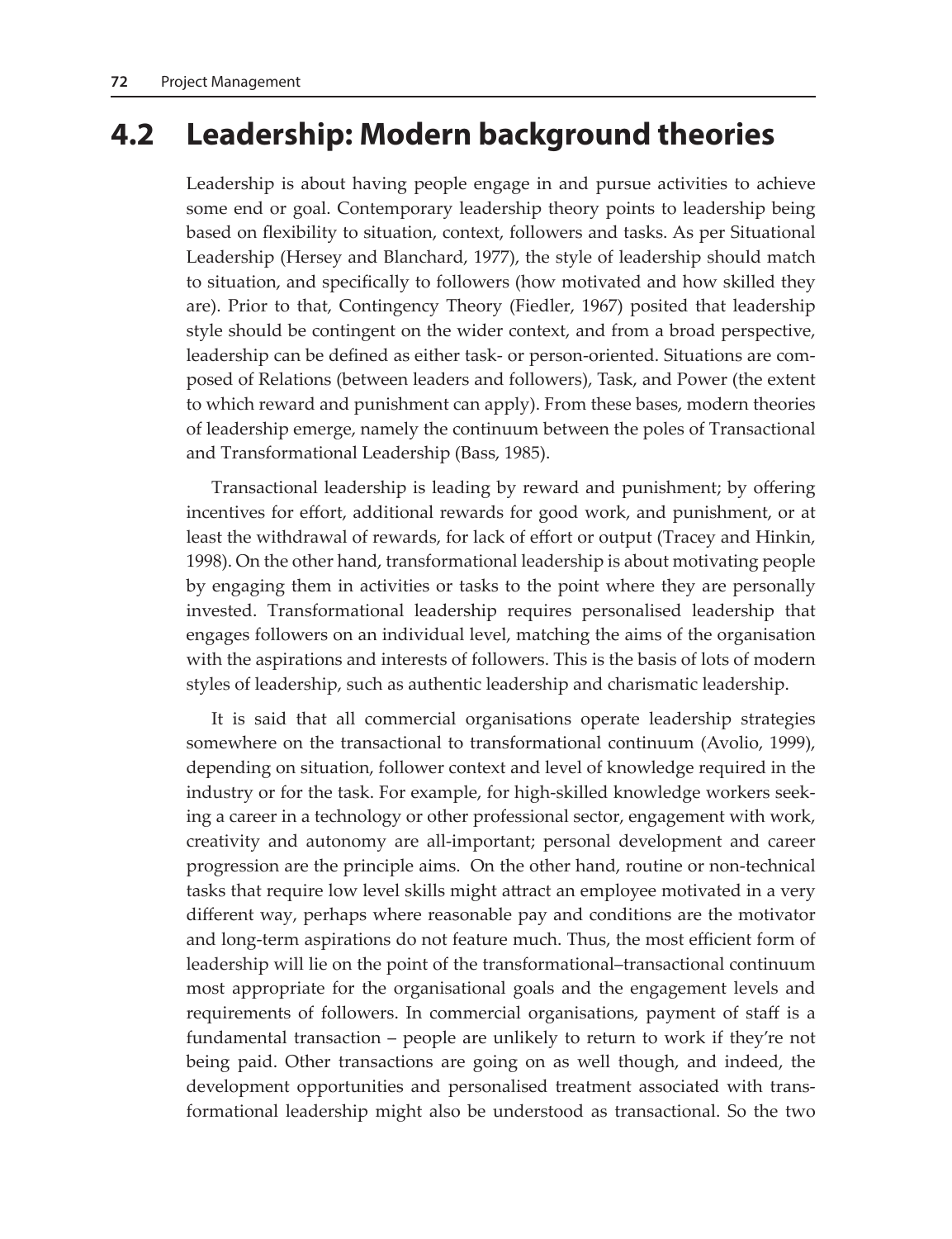## **4.2 Leadership: Modern background theories**

Leadership is about having people engage in and pursue activities to achieve some end or goal. Contemporary leadership theory points to leadership being based on flexibility to situation, context, followers and tasks. As per Situational Leadership (Hersey and Blanchard, 1977), the style of leadership should match to situation, and specifically to followers (how motivated and how skilled they are). Prior to that, Contingency Theory (Fiedler, 1967) posited that leadership style should be contingent on the wider context, and from a broad perspective, leadership can be defined as either task- or person-oriented. Situations are composed of Relations (between leaders and followers), Task, and Power (the extent to which reward and punishment can apply). From these bases, modern theories of leadership emerge, namely the continuum between the poles of Transactional and Transformational Leadership (Bass, 1985).

Transactional leadership is leading by reward and punishment; by offering incentives for effort, additional rewards for good work, and punishment, or at least the withdrawal of rewards, for lack of effort or output (Tracey and Hinkin, 1998). On the other hand, transformational leadership is about motivating people by engaging them in activities or tasks to the point where they are personally invested. Transformational leadership requires personalised leadership that engages followers on an individual level, matching the aims of the organisation with the aspirations and interests of followers. This is the basis of lots of modern styles of leadership, such as authentic leadership and charismatic leadership.

It is said that all commercial organisations operate leadership strategies somewhere on the transactional to transformational continuum (Avolio, 1999), depending on situation, follower context and level of knowledge required in the industry or for the task. For example, for high-skilled knowledge workers seeking a career in a technology or other professional sector, engagement with work, creativity and autonomy are all-important; personal development and career progression are the principle aims. On the other hand, routine or non-technical tasks that require low level skills might attract an employee motivated in a very different way, perhaps where reasonable pay and conditions are the motivator and long-term aspirations do not feature much. Thus, the most efficient form of leadership will lie on the point of the transformational–transactional continuum most appropriate for the organisational goals and the engagement levels and requirements of followers. In commercial organisations, payment of staff is a fundamental transaction – people are unlikely to return to work if they're not being paid. Other transactions are going on as well though, and indeed, the development opportunities and personalised treatment associated with transformational leadership might also be understood as transactional. So the two